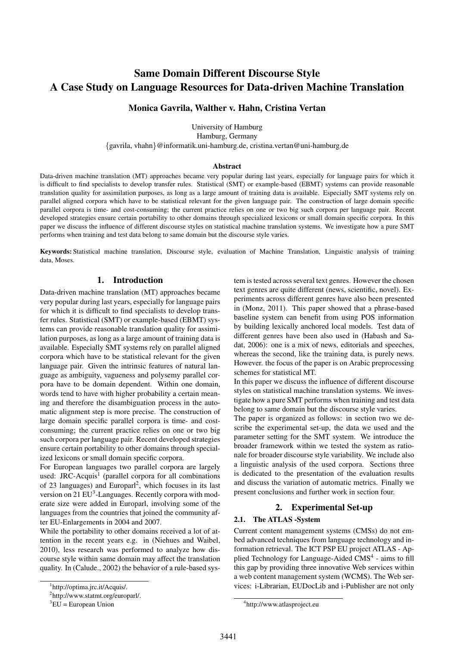# Same Domain Different Discourse Style A Case Study on Language Resources for Data-driven Machine Translation

# Monica Gavrila, Walther v. Hahn, Cristina Vertan

University of Hamburg Hamburg, Germany {gavrila, vhahn}@informatik.uni-hamburg.de, cristina.vertan@uni-hamburg.de

#### Abstract

Data-driven machine translation (MT) approaches became very popular during last years, especially for language pairs for which it is difficult to find specialists to develop transfer rules. Statistical (SMT) or example-based (EBMT) systems can provide reasonable translation quality for assimilation purposes, as long as a large amount of training data is available. Especially SMT systems rely on parallel aligned corpora which have to be statistical relevant for the given language pair. The construction of large domain specific parallel corpora is time- and cost-consuming; the current practice relies on one or two big such corpora per language pair. Recent developed strategies ensure certain portability to other domains through specialized lexicons or small domain specific corpora. In this paper we discuss the influence of different discourse styles on statistical machine translation systems. We investigate how a pure SMT performs when training and test data belong to same domain but the discourse style varies.

Keywords: Statistical machine translation, Discourse style, evaluation of Machine Translation, Linguistic analysis of training data, Moses.

# 1. Introduction

Data-driven machine translation (MT) approaches became very popular during last years, especially for language pairs for which it is difficult to find specialists to develop transfer rules. Statistical (SMT) or example-based (EBMT) systems can provide reasonable translation quality for assimilation purposes, as long as a large amount of training data is available. Especially SMT systems rely on parallel aligned corpora which have to be statistical relevant for the given language pair. Given the intrinsic features of natural language as ambiguity, vagueness and polysemy parallel corpora have to be domain dependent. Within one domain, words tend to have with higher probability a certain meaning and therefore the disambiguation process in the automatic alignment step is more precise. The construction of large domain specific parallel corpora is time- and costconsuming; the current practice relies on one or two big such corpora per language pair. Recent developed strategies ensure certain portability to other domains through specialized lexicons or small domain specific corpora.

For European languages two parallel corpora are largely used: JRC-Acquis<sup>1</sup> (parallel corpora for all combinations of 23 languages) and Europarl<sup>2</sup>, which focuses in its last version on 21 EU<sup>3</sup>-Languages. Recently corpora with moderate size were added in Europarl, involving some of the languages from the countries that joined the community after EU-Enlargements in 2004 and 2007.

While the portability to other domains received a lot of attention in the recent years e.g. in (Niehues and Waibel, 2010), less research was performed to analyze how discourse style within same domain may affect the translation quality. In (Calude., 2002) the behavior of a rule-based system is tested across several text genres. However the chosen text genres are quite different (news, scientific, novel). Experiments across different genres have also been presented in (Monz, 2011). This paper showed that a phrase-based baseline system can benefit from using POS information by building lexically anchored local models. Test data of different genres have been also used in (Habash and Sadat, 2006): one is a mix of news, editorials and speeches, whereas the second, like the training data, is purely news. However. the focus of the paper is on Arabic preprocessing schemes for statistical MT.

In this paper we discuss the influence of different discourse styles on statistical machine translation systems. We investigate how a pure SMT performs when training and test data belong to same domain but the discourse style varies.

The paper is organized as follows: in section two we describe the experimental set-up, the data we used and the parameter setting for the SMT system. We introduce the broader framework within we tested the system as rationale for broader discourse style variability. We include also a linguistic analysis of the used corpora. Sections three is dedicated to the presentation of the evaluation results and discuss the variation of automatic metrics. Finally we present conclusions and further work in section four.

# 2. Experimental Set-up

### 2.1. The ATLAS -System

Current content management systems (CMSs) do not embed advanced techniques from language technology and information retrieval. The ICT PSP EU project ATLAS - Applied Technology for Language-Aided CMS<sup>4</sup> - aims to fill this gap by providing three innovative Web services within a web content management system (WCMS). The Web services: i-Librarian, EUDocLib and i-Publisher are not only

<sup>1</sup> http://optima.jrc.it/Acquis/.

<sup>&</sup>lt;sup>2</sup>http://www.statmt.org/europarl/.

 ${}^{3}EU = European Union$ 

<sup>4</sup> http://www.atlasproject.eu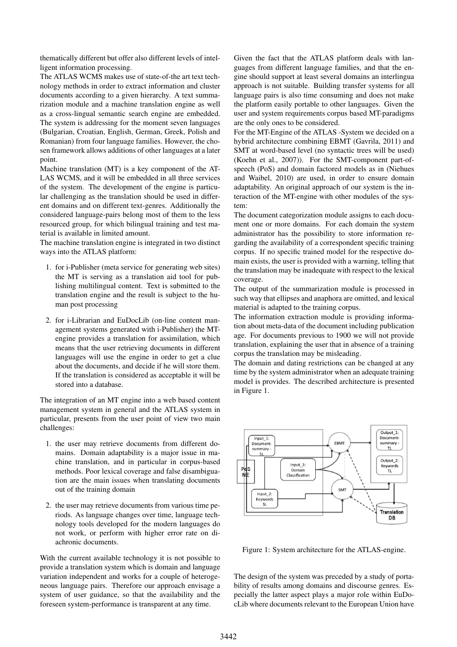thematically different but offer also different levels of intelligent information processing.

The ATLAS WCMS makes use of state-of-the art text technology methods in order to extract information and cluster documents according to a given hierarchy. A text summarization module and a machine translation engine as well as a cross-lingual semantic search engine are embedded. The system is addressing for the moment seven languages (Bulgarian, Croatian, English, German, Greek, Polish and Romanian) from four language families. However, the chosen framework allows additions of other languages at a later point.

Machine translation (MT) is a key component of the AT-LAS WCMS, and it will be embedded in all three services of the system. The development of the engine is particular challenging as the translation should be used in different domains and on different text-genres. Additionally the considered language-pairs belong most of them to the less resourced group, for which bilingual training and test material is available in limited amount.

The machine translation engine is integrated in two distinct ways into the ATLAS platform:

- 1. for i-Publisher (meta service for generating web sites) the MT is serving as a translation aid tool for publishing multilingual content. Text is submitted to the translation engine and the result is subject to the human post processing
- 2. for i-Librarian and EuDocLib (on-line content management systems generated with i-Publisher) the MTengine provides a translation for assimilation, which means that the user retrieving documents in different languages will use the engine in order to get a clue about the documents, and decide if he will store them. If the translation is considered as acceptable it will be stored into a database.

The integration of an MT engine into a web based content management system in general and the ATLAS system in particular, presents from the user point of view two main challenges:

- 1. the user may retrieve documents from different domains. Domain adaptability is a major issue in machine translation, and in particular in corpus-based methods. Poor lexical coverage and false disambiguation are the main issues when translating documents out of the training domain
- 2. the user may retrieve documents from various time periods. As language changes over time, language technology tools developed for the modern languages do not work, or perform with higher error rate on diachronic documents.

With the current available technology it is not possible to provide a translation system which is domain and language variation independent and works for a couple of heterogeneous language pairs. Therefore our approach envisage a system of user guidance, so that the availability and the foreseen system-performance is transparent at any time.

Given the fact that the ATLAS platform deals with languages from different language families, and that the engine should support at least several domains an interlingua approach is not suitable. Building transfer systems for all language pairs is also time consuming and does not make the platform easily portable to other languages. Given the user and system requirements corpus based MT-paradigms are the only ones to be considered.

For the MT-Engine of the ATLAS -System we decided on a hybrid architecture combining EBMT (Gavrila, 2011) and SMT at word-based level (no syntactic trees will be used) (Koehn et al., 2007)). For the SMT-component part-ofspeech (PoS) and domain factored models as in (Niehues and Waibel, 2010) are used, in order to ensure domain adaptability. An original approach of our system is the interaction of the MT-engine with other modules of the system:

The document categorization module assigns to each document one or more domains. For each domain the system administrator has the possibility to store information regarding the availability of a correspondent specific training corpus. If no specific trained model for the respective domain exists, the user is provided with a warning, telling that the translation may be inadequate with respect to the lexical coverage.

The output of the summarization module is processed in such way that ellipses and anaphora are omitted, and lexical material is adapted to the training corpus.

The information extraction module is providing information about meta-data of the document including publication age. For documents previous to 1900 we will not provide translation, explaining the user that in absence of a training corpus the translation may be misleading.

The domain and dating restrictions can be changed at any time by the system administrator when an adequate training model is provides. The described architecture is presented in Figure 1.



Figure 1: System architecture for the ATLAS-engine.

The design of the system was preceded by a study of portability of results among domains and discourse genres. Especially the latter aspect plays a major role within EuDocLib where documents relevant to the European Union have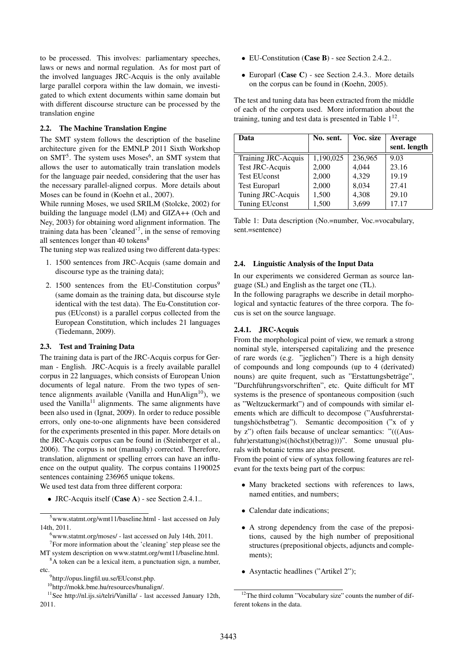to be processed. This involves: parliamentary speeches, laws or news and normal regulation. As for most part of the involved languages JRC-Acquis is the only available large parallel corpora within the law domain, we investigated to which extent documents within same domain but with different discourse structure can be processed by the translation engine

#### 2.2. The Machine Translation Engine

The SMT system follows the description of the baseline architecture given for the EMNLP 2011 Sixth Workshop on  $SMT<sup>5</sup>$ . The system uses Moses<sup>6</sup>, an SMT system that allows the user to automatically train translation models for the language pair needed, considering that the user has the necessary parallel-aligned corpus. More details about Moses can be found in (Koehn et al., 2007).

While running Moses, we used SRILM (Stolcke, 2002) for building the language model (LM) and GIZA++ (Och and Ney, 2003) for obtaining word alignment information. The training data has been 'cleaned'<sup>7</sup>, in the sense of removing all sentences longer than  $40$  tokens<sup>8</sup>

The tuning step was realized using two different data-types:

- 1. 1500 sentences from JRC-Acquis (same domain and discourse type as the training data);
- 2. 1500 sentences from the EU-Constitution corpus $9$ (same domain as the training data, but discourse style identical with the test data). The Eu-Constitution corpus (EUconst) is a parallel corpus collected from the European Constitution, which includes 21 languages (Tiedemann, 2009).

#### 2.3. Test and Training Data

The training data is part of the JRC-Acquis corpus for German - English. JRC-Acquis is a freely available parallel corpus in 22 languages, which consists of European Union documents of legal nature. From the two types of sentence alignments available (Vanilla and HunAlign<sup>10</sup>), we used the Vanilla<sup>11</sup> alignments. The same alignments have been also used in (Ignat, 2009). In order to reduce possible errors, only one-to-one alignments have been considered for the experiments presented in this paper. More details on the JRC-Acquis corpus can be found in (Steinberger et al., 2006). The corpus is not (manually) corrected. Therefore, translation, alignment or spelling errors can have an influence on the output quality. The corpus contains 1190025 sentences containing 236965 unique tokens.

We used test data from three different corpora:

• JRC-Acquis itself (Case A) - see Section 2.4.1..

<sup>5</sup>www.statmt.org/wmt11/baseline.html - last accessed on July 14th, 2011.

- EU-Constitution (Case B) see Section 2.4.2..
- Europarl (Case C) see Section 2.4.3.. More details on the corpus can be found in (Koehn, 2005).

The test and tuning data has been extracted from the middle of each of the corpora used. More information about the training, tuning and test data is presented in Table  $1^{12}$ .

| Data                   | No. sent. | Voc. size | <b>Average</b><br>sent. length |
|------------------------|-----------|-----------|--------------------------------|
| Training JRC-Acquis    | 1,190,025 | 236,965   | 9.03                           |
| <b>Test JRC-Acquis</b> | 2,000     | 4,044     | 23.16                          |
| <b>Test EUconst</b>    | 2,000     | 4,329     | 19.19                          |
| <b>Test Europarl</b>   | 2,000     | 8,034     | 27.41                          |
| Tuning JRC-Acquis      | 1,500     | 4,308     | 29.10                          |
| <b>Tuning EUconst</b>  | 1,500     | 3,699     | 17.17                          |

Table 1: Data description (No.=number, Voc.=vocabulary, sent.=sentence)

#### 2.4. Linguistic Analysis of the Input Data

In our experiments we considered German as source language (SL) and English as the target one (TL).

In the following paragraphs we describe in detail morphological and syntactic features of the three corpora. The focus is set on the source language.

### 2.4.1. JRC-Acquis

From the morphological point of view, we remark a strong nominal style, interspersed capitalizing and the presence of rare words (e.g. "jeglichen") There is a high density of compounds and long compounds (up to 4 (derivated) nouns) are quite frequent, such as "Erstattungsbeträge", "Durchfuhrungsvorschriften", etc. Quite difficult for MT ¨ systems is the presence of spontaneous composition (such as "Weltzuckermarkt") and of compounds with similar elements which are difficult to decompose ("Ausfuhrerstattungshöchstbetrag"). Semantic decomposition ("x of y by z") often fails because of unclear semantics: "(((Ausfuhr)erstattung)s((höchst)(betrag)))". Some unusual plurals with botanic terms are also present.

From the point of view of syntax following features are relevant for the texts being part of the corpus:

- Many bracketed sections with references to laws, named entities, and numbers;
- Calendar date indications;
- A strong dependency from the case of the prepositions, caused by the high number of prepositional structures (prepositional objects, adjuncts and complements);
- Asyntactic headlines ("Artikel 2");

 $6$ www.statmt.org/moses/ - last accessed on July 14th, 2011.

 $7$  For more information about the 'cleaning' step please see the MT system description on www.statmt.org/wmt11/baseline.html.

<sup>&</sup>lt;sup>8</sup>A token can be a lexical item, a punctuation sign, a number, etc.

<sup>9</sup> http://opus.lingfil.uu.se/EUconst.php.

<sup>10</sup>http://mokk.bme.hu/resources/hunalign/.

<sup>&</sup>lt;sup>11</sup>See http://nl.ijs.si/telri/Vanilla/ - last accessed January 12th, 2011.

<sup>&</sup>lt;sup>12</sup>The third column "Vocabulary size" counts the number of different tokens in the data.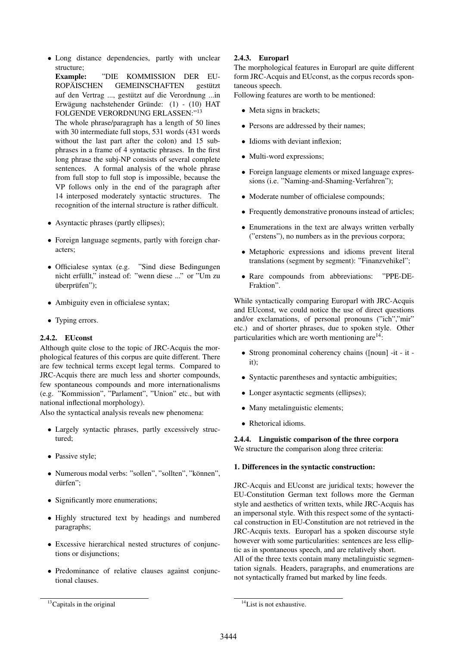• Long distance dependencies, partly with unclear structure;

Example: "DIE KOMMISSION DER EU-ROPÄISCHEN GEMEINSCHAFTEN gestützt auf den Vertrag ..., gestützt auf die Verordnung ...in Erwägung nachstehender Gründe:  $(1)$  -  $(10)$  HAT FOLGENDE VERORDNUNG ERLASSEN:"<sup>13</sup>

The whole phrase/paragraph has a length of 50 lines with 30 intermediate full stops, 531 words (431 words without the last part after the colon) and 15 subphrases in a frame of 4 syntactic phrases. In the first long phrase the subj-NP consists of several complete sentences. A formal analysis of the whole phrase from full stop to full stop is impossible, because the VP follows only in the end of the paragraph after 14 interposed moderately syntactic structures. The recognition of the internal structure is rather difficult.

- Asyntactic phrases (partly ellipses);
- Foreign language segments, partly with foreign characters;
- Officialese syntax (e.g. "Sind diese Bedingungen nicht erfüllt," instead of: "wenn diese ..." or "Um zu überprüfen"):
- Ambiguity even in officialese syntax;
- Typing errors.

# 2.4.2. EUconst

Although quite close to the topic of JRC-Acquis the morphological features of this corpus are quite different. There are few technical terms except legal terms. Compared to JRC-Acquis there are much less and shorter compounds, few spontaneous compounds and more internationalisms (e.g. "Kommission", "Parlament", "Union" etc., but with national inflectional morphology).

Also the syntactical analysis reveals new phenomena:

- Largely syntactic phrases, partly excessively structured;
- Passive style;
- Numerous modal verbs: "sollen", "sollten", "können", dürfen":
- Significantly more enumerations;
- Highly structured text by headings and numbered paragraphs;
- Excessive hierarchical nested structures of conjunctions or disjunctions;
- Predominance of relative clauses against conjunctional clauses.

### $13$ Capitals in the original

# 2.4.3. Europarl

The morphological features in Europarl are quite different form JRC-Acquis and EUconst, as the corpus records spontaneous speech.

Following features are worth to be mentioned:

- Meta signs in brackets;
- Persons are addressed by their names;
- Idioms with deviant inflexion;
- Multi-word expressions;
- Foreign language elements or mixed language expressions (i.e. "Naming-and-Shaming-Verfahren");
- Moderate number of officialese compounds;
- Frequently demonstrative pronouns instead of articles;
- Enumerations in the text are always written verbally ("erstens"), no numbers as in the previous corpora;
- Metaphoric expressions and idioms prevent literal translations (segment by segment): "Finanzvehikel";
- Rare compounds from abbreviations: "PPE-DE-Fraktion".

While syntactically comparing Europarl with JRC-Acquis and EUconst, we could notice the use of direct questions and/or exclamations, of personal pronouns ("ich","mir" etc.) and of shorter phrases, due to spoken style. Other particularities which are worth mentioning are $14$ :

- Strong pronominal coherency chains ([noun] -it it it);
- Syntactic parentheses and syntactic ambiguities:
- Longer asyntactic segments (ellipses);
- Many metalinguistic elements;
- Rhetorical idioms.

2.4.4. Linguistic comparison of the three corpora We structure the comparison along three criteria:

### 1. Differences in the syntactic construction:

JRC-Acquis and EUconst are juridical texts; however the EU-Constitution German text follows more the German style and aesthetics of written texts, while JRC-Acquis has an impersonal style. With this respect some of the syntactical construction in EU-Constitution are not retrieved in the JRC-Acquis texts. Europarl has a spoken discourse style however with some particularities: sentences are less elliptic as in spontaneous speech, and are relatively short.

All of the three texts contain many metalinguistic segmentation signals. Headers, paragraphs, and enumerations are not syntactically framed but marked by line feeds.

<sup>&</sup>lt;sup>14</sup>List is not exhaustive.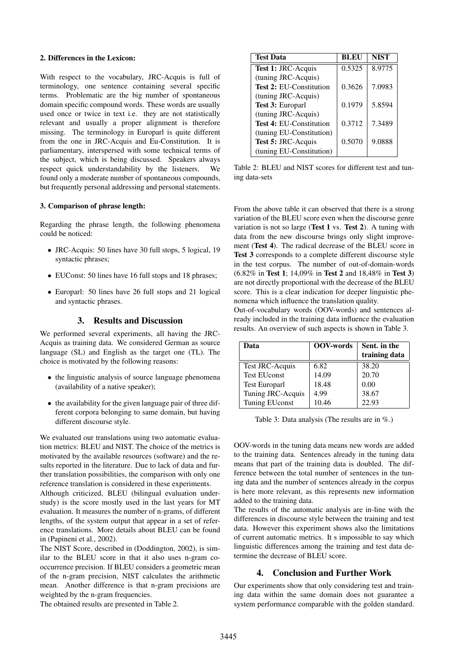### 2. Differences in the Lexicon:

With respect to the vocabulary, JRC-Acquis is full of terminology, one sentence containing several specific terms. Problematic are the big number of spontaneous domain specific compound words. These words are usually used once or twice in text i.e. they are not statistically relevant and usually a proper alignment is therefore missing. The terminology in Europarl is quite different from the one in JRC-Acquis and Eu-Constitution. It is parliamentary, interspersed with some technical terms of the subject, which is being discussed. Speakers always respect quick understandability by the listeners. We found only a moderate number of spontaneous compounds, but frequently personal addressing and personal statements.

### 3. Comparison of phrase length:

Regarding the phrase length, the following phenomena could be noticed:

- JRC-Acquis: 50 lines have 30 full stops, 5 logical, 19 syntactic phrases;
- EUConst: 50 lines have 16 full stops and 18 phrases;
- Europarl: 50 lines have 26 full stops and 21 logical and syntactic phrases.

### 3. Results and Discussion

We performed several experiments, all having the JRC-Acquis as training data. We considered German as source language (SL) and English as the target one (TL). The choice is motivated by the following reasons:

- the linguistic analysis of source language phenomena (availability of a native speaker);
- the availability for the given language pair of three different corpora belonging to same domain, but having different discourse style.

We evaluated our translations using two automatic evaluation metrics: BLEU and NIST. The choice of the metrics is motivated by the available resources (software) and the results reported in the literature. Due to lack of data and further translation possibilities, the comparison with only one reference translation is considered in these experiments.

Although criticized, BLEU (bilingual evaluation understudy) is the score mostly used in the last years for MT evaluation. It measures the number of n-grams, of different lengths, of the system output that appear in a set of reference translations. More details about BLEU can be found in (Papineni et al., 2002).

The NIST Score, described in (Doddington, 2002), is similar to the BLEU score in that it also uses n-gram cooccurrence precision. If BLEU considers a geometric mean of the n-gram precision, NIST calculates the arithmetic mean. Another difference is that n-gram precisions are weighted by the n-gram frequencies.

The obtained results are presented in Table 2.

| <b>Test Data</b>               | BLEU   | <b>NIST</b> |
|--------------------------------|--------|-------------|
| Test 1: JRC-Acquis             | 0.5325 | 8.9775      |
| (tuning JRC-Acquis)            |        |             |
| <b>Test 2: EU-Constitution</b> | 0.3626 | 7.0983      |
| (tuning JRC-Acquis)            |        |             |
| Test 3: Europarl               | 0.1979 | 5.8594      |
| (tuning JRC-Acquis)            |        |             |
| <b>Test 4: EU-Constitution</b> | 0.3712 | 7.3489      |
| (tuning EU-Constitution)       |        |             |
| Test 5: JRC-Acquis             | 0.5070 | 9.0888      |
| (tuning EU-Constitution)       |        |             |

Table 2: BLEU and NIST scores for different test and tuning data-sets

From the above table it can observed that there is a strong variation of the BLEU score even when the discourse genre variation is not so large (Test 1 vs. Test 2). A tuning with data from the new discourse brings only slight improvement (Test 4). The radical decrease of the BLEU score in Test 3 corresponds to a complete different discourse style in the test corpus. The number of out-of-domain-words (6.82% in Test 1; 14,09% in Test 2 and 18,48% in Test 3) are not directly proportional with the decrease of the BLEU score. This is a clear indication for deeper linguistic phenomena which influence the translation quality.

Out-of-vocabulary words (OOV-words) and sentences already included in the training data influence the evaluation results. An overview of such aspects is shown in Table 3.

| Data                  | OOV-words | Sent. in the<br>training data |
|-----------------------|-----------|-------------------------------|
| Test JRC-Acquis       | 6.82      | 38.20                         |
| <b>Test EU</b> const  | 14.09     | 20.70                         |
| <b>Test Europarl</b>  | 18.48     | 0.00                          |
| Tuning JRC-Acquis     | 4.99      | 38.67                         |
| <b>Tuning EUconst</b> | 10.46     | 22.93                         |

Table 3: Data analysis (The results are in %.)

OOV-words in the tuning data means new words are added to the training data. Sentences already in the tuning data means that part of the training data is doubled. The difference between the total number of sentences in the tuning data and the number of sentences already in the corpus is here more relevant, as this represents new information added to the training data.

The results of the automatic analysis are in-line with the differences in discourse style between the training and test data. However this experiment shows also the limitations of current automatic metrics. It s impossible to say which linguistic differences among the training and test data determine the decrease of BLEU score.

# 4. Conclusion and Further Work

Our experiments show that only considering test and training data within the same domain does not guarantee a system performance comparable with the golden standard.